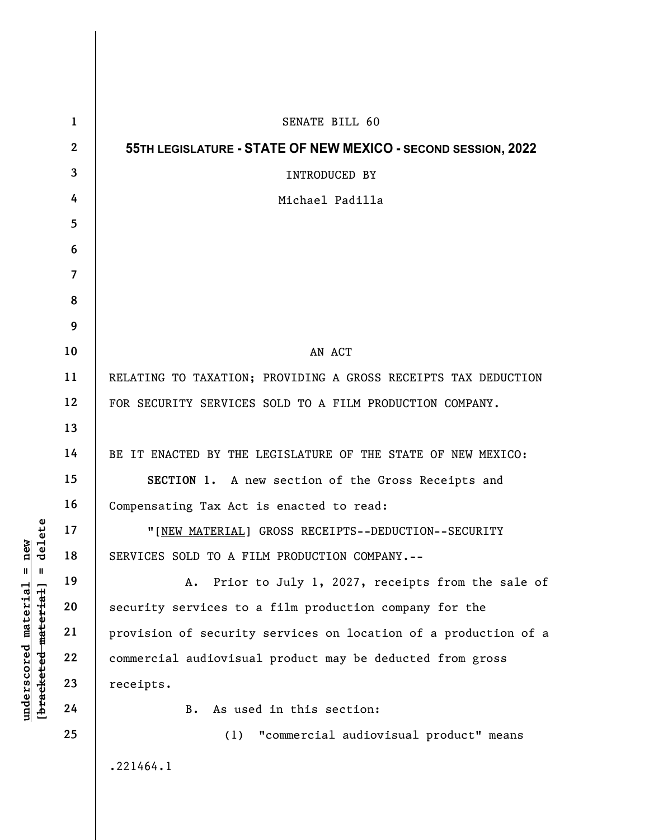|                                                                                           | $\mathbf{1}$   | SENATE BILL 60                                                  |
|-------------------------------------------------------------------------------------------|----------------|-----------------------------------------------------------------|
| delete<br>new<br>$^{\mathsf{II}}$<br>Ш<br>[bracketed material]<br>material<br>underscored | $\mathbf{2}$   | 55TH LEGISLATURE - STATE OF NEW MEXICO - SECOND SESSION, 2022   |
|                                                                                           | $\mathbf{3}$   | <b>INTRODUCED BY</b>                                            |
|                                                                                           | 4              | Michael Padilla                                                 |
|                                                                                           | 5              |                                                                 |
|                                                                                           | 6              |                                                                 |
|                                                                                           | $\overline{7}$ |                                                                 |
|                                                                                           | 8              |                                                                 |
|                                                                                           | 9              |                                                                 |
|                                                                                           | 10             | AN ACT                                                          |
|                                                                                           | 11             | RELATING TO TAXATION; PROVIDING A GROSS RECEIPTS TAX DEDUCTION  |
|                                                                                           | 12             | FOR SECURITY SERVICES SOLD TO A FILM PRODUCTION COMPANY.        |
|                                                                                           | 13             |                                                                 |
|                                                                                           | 14             | BE IT ENACTED BY THE LEGISLATURE OF THE STATE OF NEW MEXICO:    |
|                                                                                           | 15             | SECTION 1. A new section of the Gross Receipts and              |
|                                                                                           | 16             | Compensating Tax Act is enacted to read:                        |
|                                                                                           | 17             | "[NEW MATERIAL] GROSS RECEIPTS--DEDUCTION--SECURITY             |
|                                                                                           | 18             | SERVICES SOLD TO A FILM PRODUCTION COMPANY.--                   |
|                                                                                           | 19             | Prior to July 1, 2027, receipts from the sale of<br>Α.          |
|                                                                                           | 20             | security services to a film production company for the          |
|                                                                                           | 21             | provision of security services on location of a production of a |
|                                                                                           | 22             | commercial audiovisual product may be deducted from gross       |
|                                                                                           | 23             | receipts.                                                       |
|                                                                                           | 24             | As used in this section:<br>В.                                  |
|                                                                                           | 25             | "commercial audiovisual product" means<br>(1)                   |
|                                                                                           |                | .221464.1                                                       |

 $\mathbf{I}$